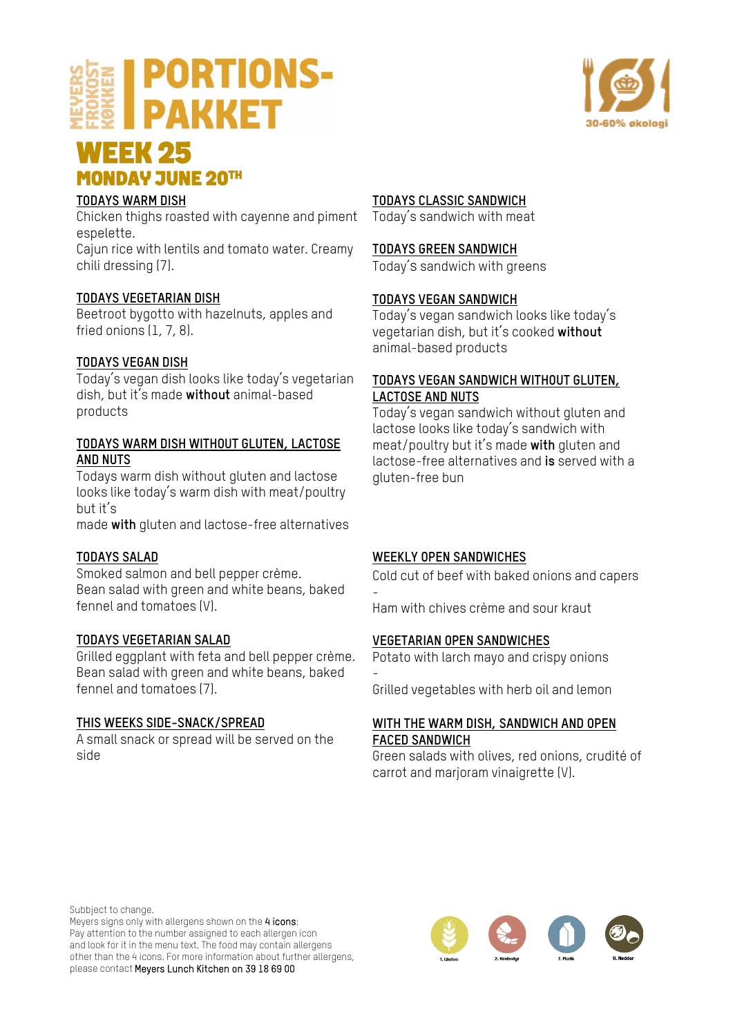## **PORTIONS-PAKKET**



## **WEEK 25<br>MONDAY JUNE 20TH**

### **TODAYS WARM DISH**

Chicken thighs roasted with cayenne and piment espelette.

Cajun rice with lentils and tomato water. Creamy chili dressing (7).

#### **TODAYS VEGETARIAN DISH**

Beetroot bygotto with hazelnuts, apples and fried onions (1, 7, 8).

#### **TODAYS VEGAN DISH**

Today's vegan dish looks like today's vegetarian dish, but it's made **without** animal-based products

#### **TODAYS WARM DISH WITHOUT GLUTEN, LACTOSE AND NUTS**

Todays warm dish without gluten and lactose looks like today's warm dish with meat/poultry but it's

made **with** gluten and lactose-free alternatives

#### **TODAYS SALAD**

Smoked salmon and bell pepper crème. Bean salad with green and white beans, baked fennel and tomatoes (V).

#### **TODAYS VEGETARIAN SALAD**

Grilled eggplant with feta and bell pepper crème. Bean salad with green and white beans, baked fennel and tomatoes (7).

#### **THIS WEEKS SIDE-SNACK/SPREAD**

A small snack or spread will be served on the side

#### **TODAYS CLASSIC SANDWICH**

Today's sandwich with meat

#### **TODAYS GREEN SANDWICH**

Today's sandwich with greens

#### **TODAYS VEGAN SANDWICH**

Today's vegan sandwich looks like today's vegetarian dish, but it's cooked **without** animal-based products

#### **TODAYS VEGAN SANDWICH WITHOUT GLUTEN, LACTOSE AND NUTS**

Today's vegan sandwich without gluten and lactose looks like today's sandwich with meat/poultry but it's made **with** gluten and lactose-free alternatives and **is** served with a gluten-free bun

#### **WEEKLY OPEN SANDWICHES**

Cold cut of beef with baked onions and capers -

Ham with chives crème and sour kraut

#### **VEGETARIAN OPEN SANDWICHES**

Potato with larch mayo and crispy onions -

Grilled vegetables with herb oil and lemon

#### **WITH THE WARM DISH, SANDWICH AND OPEN FACED SANDWICH**

Green salads with olives, red onions, crudité of carrot and marjoram vinaigrette (V).

Subbject to change.

Meyers signs only with allergens shown on the 4 icons: Pay attention to the number assigned to each allergen icon and look for it in the menu text. The food may contain allergens other than the 4 icons. For more information about further allergens, please contact Meyers Lunch Kitchen on 39 18 69 00

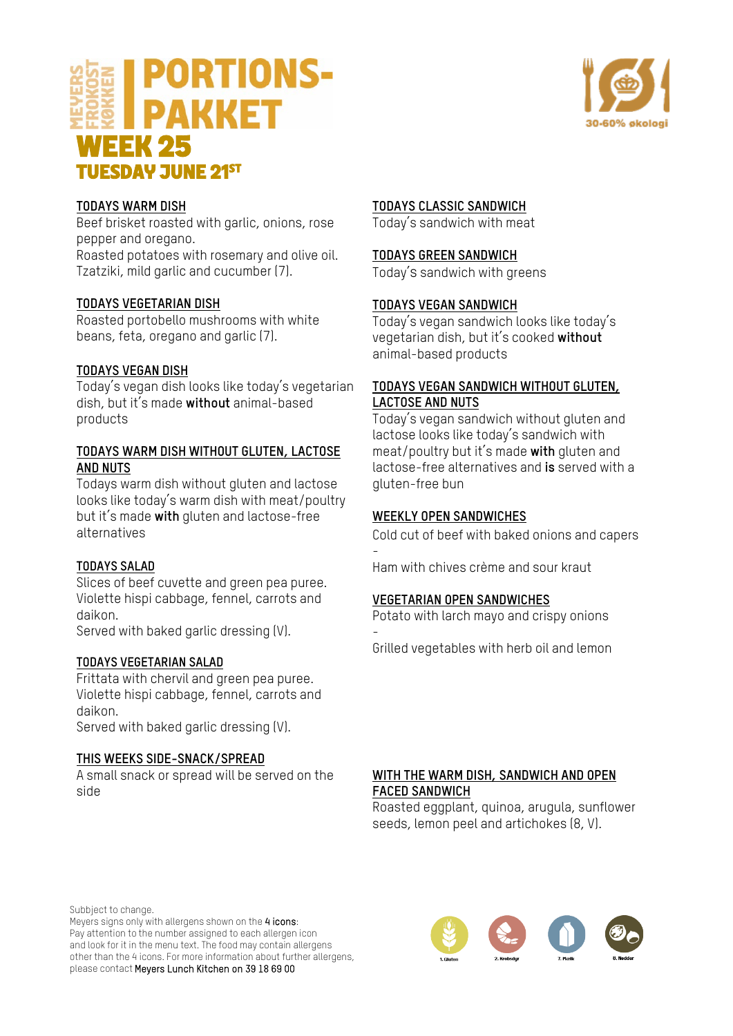



#### **TODAYS WARM DISH**

Beef brisket roasted with garlic, onions, rose pepper and oregano.

Roasted potatoes with rosemary and olive oil. Tzatziki, mild garlic and cucumber (7).

#### **TODAYS VEGETARIAN DISH**

Roasted portobello mushrooms with white beans, feta, oregano and garlic (7).

#### **TODAYS VEGAN DISH**

Today's vegan dish looks like today's vegetarian dish, but it's made **without** animal-based products

#### **TODAYS WARM DISH WITHOUT GLUTEN, LACTOSE AND NUTS**

Todays warm dish without gluten and lactose looks like today's warm dish with meat/poultry but it's made **with** gluten and lactose-free alternatives

#### **TODAYS SALAD**

Slices of beef cuvette and green pea puree. Violette hispi cabbage, fennel, carrots and daikon.

Served with baked garlic dressing (V).

#### **TODAYS VEGETARIAN SALAD**

Frittata with chervil and green pea puree. Violette hispi cabbage, fennel, carrots and daikon.

Served with baked garlic dressing (V).

#### **THIS WEEKS SIDE-SNACK/SPREAD**

A small snack or spread will be served on the side

#### **TODAYS CLASSIC SANDWICH**

Today's sandwich with meat

#### **TODAYS GREEN SANDWICH**

Today's sandwich with greens

#### **TODAYS VEGAN SANDWICH**

Today's vegan sandwich looks like today's vegetarian dish, but it's cooked **without** animal-based products

#### **TODAYS VEGAN SANDWICH WITHOUT GLUTEN, LACTOSE AND NUTS**

Today's vegan sandwich without gluten and lactose looks like today's sandwich with meat/poultry but it's made **with** gluten and lactose-free alternatives and **is** served with a gluten-free bun

#### **WEEKLY OPEN SANDWICHES**

-

-

Cold cut of beef with baked onions and capers

Ham with chives crème and sour kraut

#### **VEGETARIAN OPEN SANDWICHES**

Potato with larch mayo and crispy onions

Grilled vegetables with herb oil and lemon

#### **WITH THE WARM DISH, SANDWICH AND OPEN FACED SANDWICH**

Roasted eggplant, quinoa, arugula, sunflower seeds, lemon peel and artichokes (8, V).

Subbject to change.

Meyers signs only with allergens shown on the 4 icons: Pay attention to the number assigned to each allergen icon and look for it in the menu text. The food may contain allergens other than the 4 icons. For more information about further allergens, please contact Meyers Lunch Kitchen on 39 18 69 00

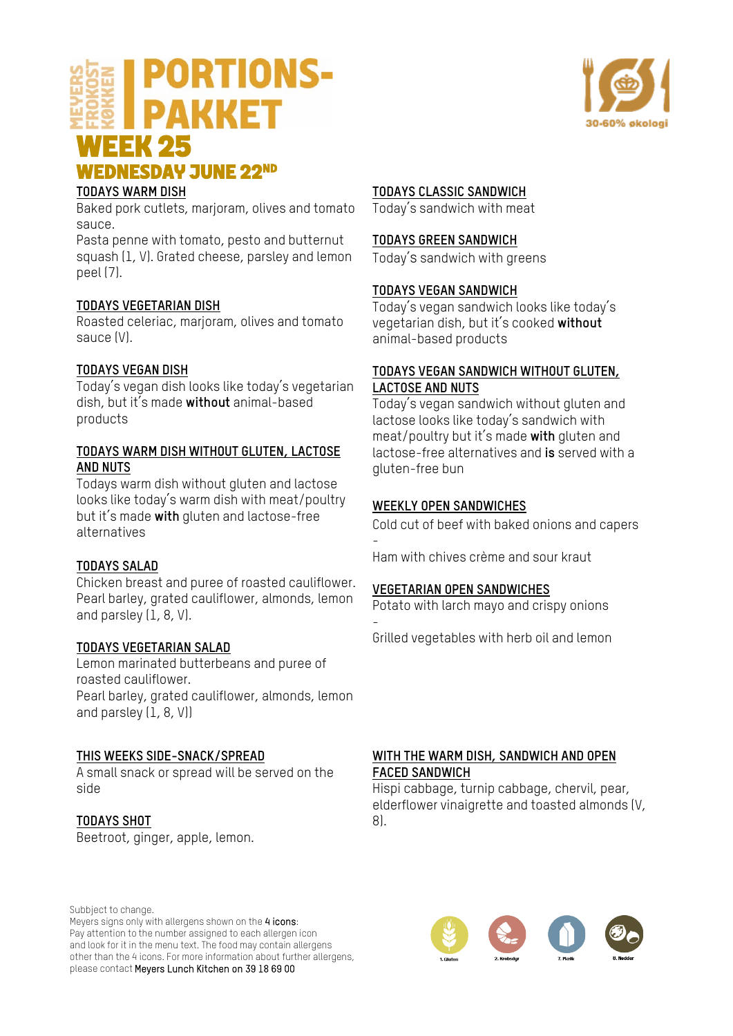## **PORTIONS-PAKKET WEEK 25<br>WEDNESDAY JUNE 22<sup>ND</sup>**



#### **TODAYS WARM DISH**

Baked pork cutlets, marjoram, olives and tomato sauce.

Pasta penne with tomato, pesto and butternut squash (1, V). Grated cheese, parsley and lemon peel (7).

#### **TODAYS VEGETARIAN DISH**

Roasted celeriac, marjoram, olives and tomato sauce (V).

#### **TODAYS VEGAN DISH**

Today's vegan dish looks like today's vegetarian dish, but it's made **without** animal-based products

#### **TODAYS WARM DISH WITHOUT GLUTEN, LACTOSE AND NUTS**

Todays warm dish without gluten and lactose looks like today's warm dish with meat/poultry but it's made **with** gluten and lactose-free alternatives

#### **TODAYS SALAD**

Chicken breast and puree of roasted cauliflower. Pearl barley, grated cauliflower, almonds, lemon and parsley (1, 8, V).

#### **TODAYS VEGETARIAN SALAD**

Lemon marinated butterbeans and puree of roasted cauliflower. Pearl barley, grated cauliflower, almonds, lemon and parsley (1, 8, V))

#### **THIS WEEKS SIDE-SNACK/SPREAD**

A small snack or spread will be served on the side

#### **TODAYS SHOT**

Beetroot, ginger, apple, lemon.

#### **TODAYS CLASSIC SANDWICH**

Today's sandwich with meat

#### **TODAYS GREEN SANDWICH**

Today's sandwich with greens

#### **TODAYS VEGAN SANDWICH**

Today's vegan sandwich looks like today's vegetarian dish, but it's cooked **without** animal-based products

#### **TODAYS VEGAN SANDWICH WITHOUT GLUTEN, LACTOSE AND NUTS**

Today's vegan sandwich without gluten and lactose looks like today's sandwich with meat/poultry but it's made **with** gluten and lactose-free alternatives and **is** served with a gluten-free bun

#### **WEEKLY OPEN SANDWICHES**

-

Cold cut of beef with baked onions and capers

Ham with chives crème and sour kraut

#### **VEGETARIAN OPEN SANDWICHES**

Potato with larch mayo and crispy onions -

Grilled vegetables with herb oil and lemon

#### **WITH THE WARM DISH, SANDWICH AND OPEN FACED SANDWICH**

Hispi cabbage, turnip cabbage, chervil, pear, elderflower vinaigrette and toasted almonds (V, 8).

Subbject to change.

Meyers signs only with allergens shown on the 4 icons: Pay attention to the number assigned to each allergen icon and look for it in the menu text. The food may contain allergens other than the 4 icons. For more information about further allergens, please contact Meyers Lunch Kitchen on 39 18 69 00



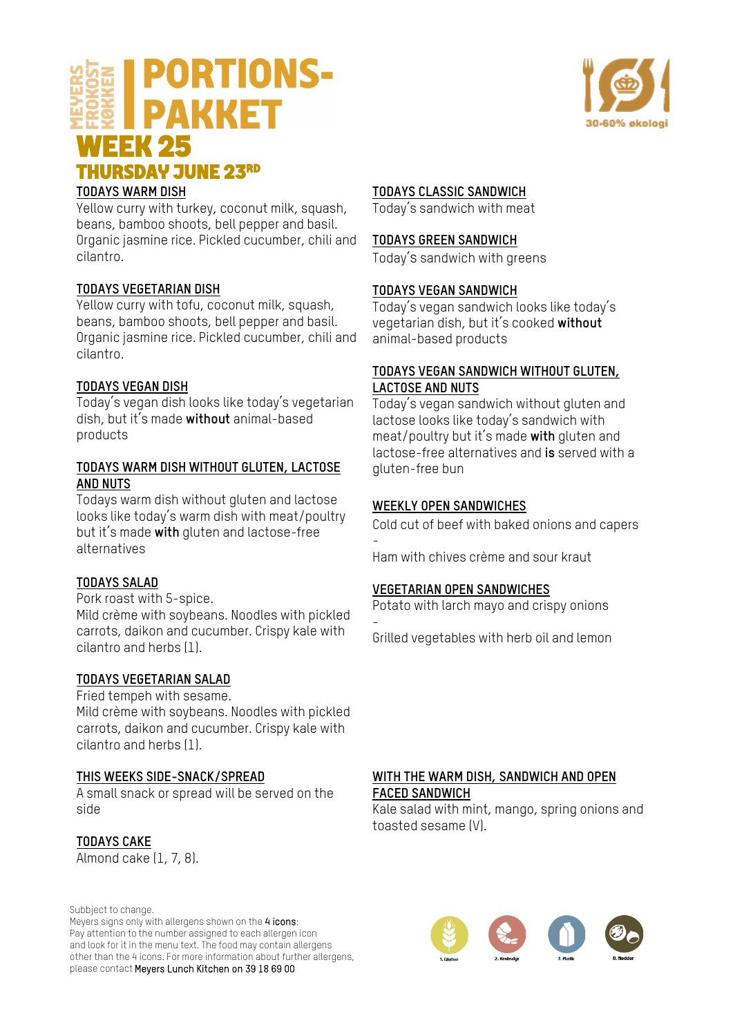### **PORTIONS-PAKKET WEEK 25<br>THURSDAY JUNE 23RD**



#### **TODAYS WARM DISH**

Yellow curry with turkey, coconut milk, squash, beans, bamboo shoots, bell pepper and basil. Organic jasmine rice. Pickled cucumber, chili and cilantro.

#### **TODAYS VEGETARIAN DISH**

Yellow curry with tofu, coconut milk, squash, beans, bamboo shoots, bell pepper and basil. Organic jasmine rice. Pickled cucumber, chili and cilantro.

#### **TODAYS VEGAN DISH**

Today's vegan dish looks like today's vegetarian dish, but it's made **without** animal-based products

#### **TODAYS WARM DISH WITHOUT GLUTEN, LACTOSE AND NUTS**

Todays warm dish without gluten and lactose looks like today's warm dish with meat/poultry but it's made **with** gluten and lactose-free alternatives

#### **TODAYS SALAD**

Pork roast with 5-spice. Mild crème with soybeans. Noodles with pickled carrots, daikon and cucumber. Crispy kale with cilantro and herbs (1).

#### **TODAYS VEGETARIAN SALAD**

Fried tempeh with sesame. Mild crème with soybeans. Noodles with pickled carrots, daikon and cucumber. Crispy kale with

#### **THIS WEEKS SIDE-SNACK/SPREAD**

A small snack or spread will be served on the side

#### **TODAYS CAKE**

Almond cake (1, 7, 8).

cilantro and herbs (1).

Subbject to change.

Meyers signs only with allergens shown on the 4 icons: Pay attention to the number assigned to each allergen icon and look for it in the menu text. The food may contain allergens other than the 4 icons. For more information about further allergens, please contact Meyers Lunch Kitchen on 39 18 69 00

#### **TODAYS CLASSIC SANDWICH**

Today's sandwich with meat

#### **TODAYS GREEN SANDWICH**

Today's sandwich with greens

#### **TODAYS VEGAN SANDWICH**

Today's vegan sandwich looks like today's vegetarian dish, but it's cooked **without** animal-based products

#### **TODAYS VEGAN SANDWICH WITHOUT GLUTEN, LACTOSE AND NUTS**

Today's vegan sandwich without gluten and lactose looks like today's sandwich with meat/poultry but it's made **with** gluten and lactose-free alternatives and **is** served with a gluten-free bun

#### **WEEKLY OPEN SANDWICHES**

Cold cut of beef with baked onions and capers -

Ham with chives crème and sour kraut

#### **VEGETARIAN OPEN SANDWICHES**

Potato with larch mayo and crispy onions -

Grilled vegetables with herb oil and lemon

#### **WITH THE WARM DISH, SANDWICH AND OPEN FACED SANDWICH**

Kale salad with mint, mango, spring onions and toasted sesame (V).